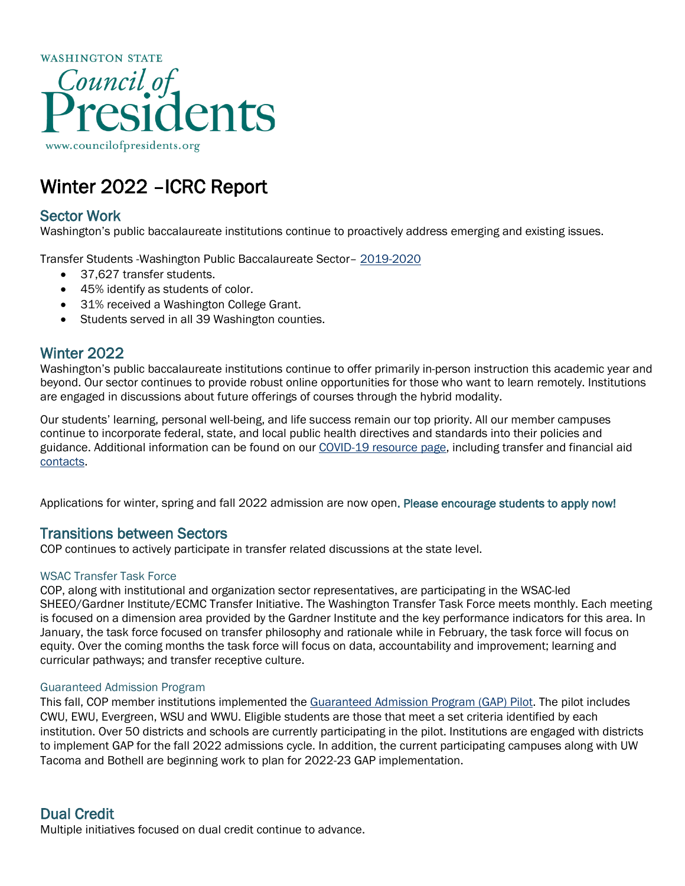

# Winter 2022 –ICRC Report

# Sector Work

Washington's public baccalaureate institutions continue to proactively address emerging and existing issues.

Transfer Students -Washington Public Baccalaureate Sector– [2019-2020](https://erdc.wa.gov/data-dashboards/public-four-year-dashboard#annual-enrollment)

- 37,627 transfer students.
- 45% identify as students of color.
- 31% received a Washington College Grant.
- Students served in all 39 Washington counties.

## Winter 2022

Washington's public baccalaureate institutions continue to offer primarily in-person instruction this academic year and beyond. Our sector continues to provide robust online opportunities for those who want to learn remotely. Institutions are engaged in discussions about future offerings of courses through the hybrid modality.

Our students' learning, personal well-being, and life success remain our top priority. All our member campuses continue to incorporate federal, state, and local public health directives and standards into their policies and guidance. Additional information can be found on our [COVID-19 resource page,](https://councilofpresidents.org/novel-coronavirus-covid-19-information-resources/) including transfer and financial aid [contacts.](https://councilofpresidents.org/novel-coronavirus-covid-19-information-resources/washington-public-four-year-college-universities-covid-19-faq/)

Applications for winter, spring and fall 2022 admission are now open. Please encourage students to apply now!

## Transitions between Sectors

COP continues to actively participate in transfer related discussions at the state level.

#### WSAC Transfer Task Force

COP, along with institutional and organization sector representatives, are participating in the WSAC-led SHEEO/Gardner Institute/ECMC Transfer Initiative. The Washington Transfer Task Force meets monthly. Each meeting is focused on a dimension area provided by the Gardner Institute and the key performance indicators for this area. In January, the task force focused on transfer philosophy and rationale while in February, the task force will focus on equity. Over the coming months the task force will focus on data, accountability and improvement; learning and curricular pathways; and transfer receptive culture.

#### Guaranteed Admission Program

This fall, COP member institutions implemented the [Guaranteed Admission Program \(GAP\) Pilot.](https://councilofpresidents.org/_admissions/) The pilot includes CWU, EWU, Evergreen, WSU and WWU. Eligible students are those that meet a set criteria identified by each institution. Over 50 districts and schools are currently participating in the pilot. Institutions are engaged with districts to implement GAP for the fall 2022 admissions cycle. In addition, the current participating campuses along with UW Tacoma and Bothell are beginning work to plan for 2022-23 GAP implementation.

## Dual Credit

Multiple initiatives focused on dual credit continue to advance.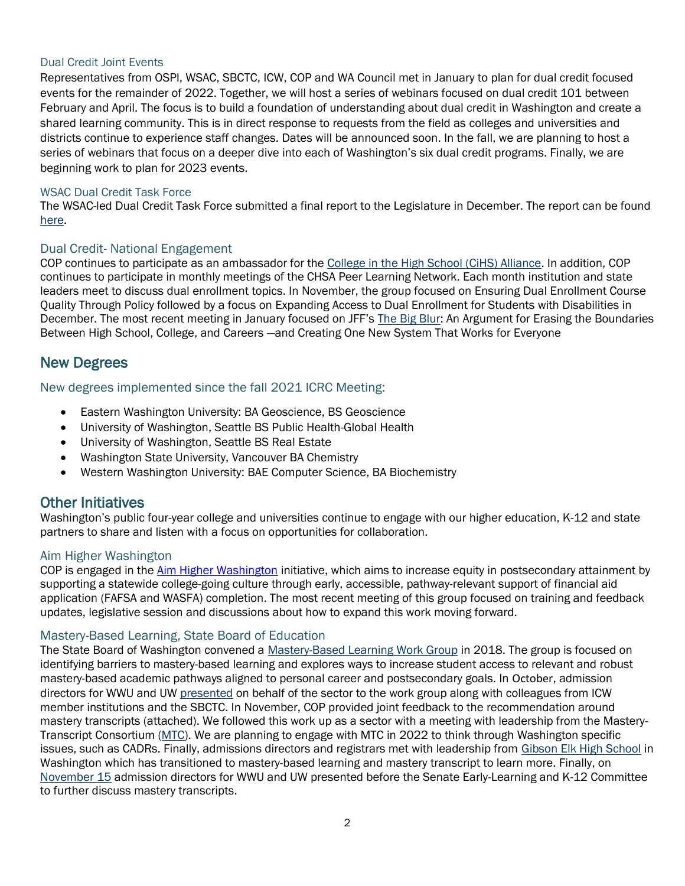#### Dual Credit Joint Events

Representatives from OSPI, WSAC, SBCTC, ICW, COP and WA Council met in January to plan for dual credit focused events for the remainder of 2022. Together, we will host a series of webinars focused on dual credit 101 between February and April. The focus is to build a foundation of understanding about dual credit in Washington and create a shared learning community. This is in direct response to requests from the field as colleges and universities and districts continue to experience staff changes. Dates will be announced soon. In the fall, we are planning to host a series of webinars that focus on a deeper dive into each of Washington's six dual credit programs. Finally, we are beginning work to plan for 2023 events.

#### WSAC Dual Credit Task Force

The WSAC-led Dual Credit Task Force submitted a final report to the Legislature in December. The report can be found [here.](https://wsac.wa.gov/sites/default/files/2021-12-Dual-Credit-Legislative-Report.pdf)

#### Dual Credit- National Engagement

COP continues to participate as an ambassador for the [College in the High School \(CiHS\) Alliance.](https://www.collegeinhighschool.org/) In addition, COP continues to participate in monthly meetings of the CHSA Peer Learning Network. Each month institution and state leaders meet to discuss dual enrollment topics. In November, the group focused on Ensuring Dual Enrollment Course Quality Through Policy followed by a focus on Expanding Access to Dual Enrollment for Students with Disabilities in December. The most recent meeting in January focused on JFF's [The Big Blur:](https://nam10.safelinks.protection.outlook.com/?url=https%3A%2F%2Flinkprotect.cudasvc.com%2Furl%3Fa%3Dhttps%253a%252f%252fwww.jff.org%252fresources%252fthe-big-blur-an-argument-for-erasing-the-boundaries-between-high-school-college-and-careers-and-creating-one-new-system-that-works-for-everyone%252f%26c%3DE%2C1%2CrBA8MKq5gvbDc9ejRI6R09AsRt7Q43w3o16gFBU3uqNoUBHx25AxWYx9WIfp6auJZtDQN5CxUK5hXE49f68Z3CYCx0wJ-R5nIpUN1EJSOf9EWs_1u3GN%26typo%3D1&data=04%7C01%7Cecuevas%40jff.org%7C8aa2e46ab4b945d0552708d9c0a42943%7C3bddf584e8d746c49804a0f3cdf0b0ca%7C0%7C0%7C637752633577975608%7CUnknown%7CTWFpbGZsb3d8eyJWIjoiMC4wLjAwMDAiLCJQIjoiV2luMzIiLCJBTiI6Ik1haWwiLCJXVCI6Mn0%3D%7C3000&sdata=NNm93T8uiJ%2BjCyMAQhAH%2B1vGe8cfnt2UjKq3PJDHARs%3D&reserved=0) An Argument for Erasing the Boundaries Between High School, College, and Careers —and Creating One New System That Works for Everyone

## New Degrees

#### New degrees implemented since the fall 2021 ICRC Meeting:

- Eastern Washington University: BA Geoscience, BS Geoscience
- University of Washington, Seattle BS Public Health-Global Health
- University of Washington, Seattle BS Real Estate
- Washington State University, Vancouver BA Chemistry
- Western Washington University: BAE Computer Science, BA Biochemistry

## Other Initiatives

Washington's public four-year college and universities continue to engage with our higher education, K-12 and state partners to share and listen with a focus on opportunities for collaboration.

#### Aim Higher Washington

COP is engaged in the [Aim Higher Washington](https://wsac.wa.gov/aim-higher) initiative, which aims to increase equity in postsecondary attainment by supporting a statewide college-going culture through early, accessible, pathway-relevant support of financial aid application (FAFSA and WASFA) completion. The most recent meeting of this group focused on training and feedback updates, legislative session and discussions about how to expand this work moving forward.

#### Mastery-Based Learning, State Board of Education

The State Board of Washington convened a [Mastery-Based Learning Work Group](https://www.sbe.wa.gov/our-work/mastery-based-learning-work-group) in 2018. The group is focused on identifying barriers to mastery-based learning and explores ways to increase student access to relevant and robust mastery-based academic pathways aligned to personal career and postsecondary goals. In October, admission directors for WWU and UW [presented](https://www.sbe.wa.gov/sites/default/files/public/documents/MasteryBasedLearningWorkGroup/October%2028%2C%202021%20-%20Mastery-Based%20Learning%20Work%20Group%20Draft%20Meeting%20Notes.pdf) on behalf of the sector to the work group along with colleagues from ICW member institutions and the SBCTC. In November, COP provided joint feedback to the recommendation around mastery transcripts (attached). We followed this work up as a sector with a meeting with leadership from the Mastery-Transcript Consortium [\(MTC\)](https://mastery.org/). We are planning to engage with MTC in 2022 to think through Washington specific issues, such as CADRs. Finally, admissions directors and registrars met with leadership from [Gibson Elk High School](https://www.issaquah.wednet.edu/gibsonekhs/) in Washington which has transitioned to mastery-based learning and mastery transcript to learn more. Finally, on [November 15](https://app.leg.wa.gov/committeeschedules/#//EDU/////year) admission directors for WWU and UW presented before the Senate Early-Learning and K-12 Committee to further discuss mastery transcripts.